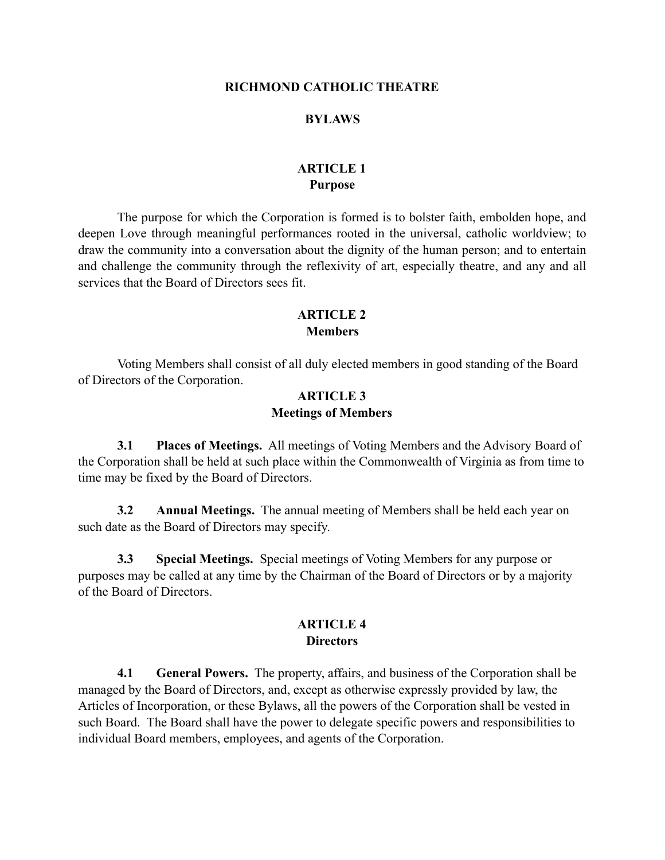#### **RICHMOND CATHOLIC THEATRE**

#### **BYLAWS**

## **ARTICLE 1 Purpose**

 The purpose for which the Corporation is formed is to bolster faith, embolden hope, and deepen Love through meaningful performances rooted in the universal, catholic worldview; to draw the community into a conversation about the dignity of the human person; and to entertain and challenge the community through the reflexivity of art, especially theatre, and any and all services that the Board of Directors sees fit.

## **ARTICLE 2 Members**

 Voting Members shall consist of all duly elected members in good standing of the Board of Directors of the Corporation.

#### **ARTICLE 3 Meetings of Members**

**3.1 Places of Meetings.** All meetings of Voting Members and the Advisory Board of the Corporation shall be held at such place within the Commonwealth of Virginia as from time to time may be fixed by the Board of Directors.

**3.2 Annual Meetings.** The annual meeting of Members shall be held each year on such date as the Board of Directors may specify.

**3.3 Special Meetings.** Special meetings of Voting Members for any purpose or purposes may be called at any time by the Chairman of the Board of Directors or by a majority of the Board of Directors.

## **ARTICLE 4 Directors**

**4.1 General Powers.** The property, affairs, and business of the Corporation shall be managed by the Board of Directors, and, except as otherwise expressly provided by law, the Articles of Incorporation, or these Bylaws, all the powers of the Corporation shall be vested in such Board. The Board shall have the power to delegate specific powers and responsibilities to individual Board members, employees, and agents of the Corporation.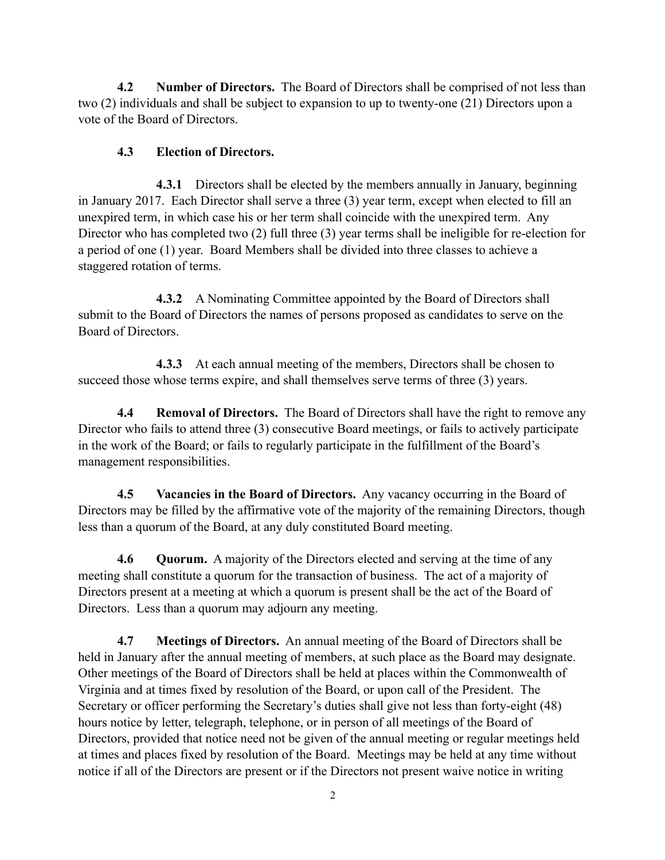**4.2 Number of Directors.** The Board of Directors shall be comprised of not less than two (2) individuals and shall be subject to expansion to up to twenty-one (21) Directors upon a vote of the Board of Directors.

# **4.3 Election of Directors.**

 **4.3.1** Directors shall be elected by the members annually in January, beginning in January 2017. Each Director shall serve a three (3) year term, except when elected to fill an unexpired term, in which case his or her term shall coincide with the unexpired term. Any Director who has completed two (2) full three (3) year terms shall be ineligible for re-election for a period of one (1) year. Board Members shall be divided into three classes to achieve a staggered rotation of terms.

 **4.3.2** A Nominating Committee appointed by the Board of Directors shall submit to the Board of Directors the names of persons proposed as candidates to serve on the Board of Directors.

 **4.3.3** At each annual meeting of the members, Directors shall be chosen to succeed those whose terms expire, and shall themselves serve terms of three (3) years.

**4.4 Removal of Directors.** The Board of Directors shall have the right to remove any Director who fails to attend three (3) consecutive Board meetings, or fails to actively participate in the work of the Board; or fails to regularly participate in the fulfillment of the Board's management responsibilities.

**4.5 Vacancies in the Board of Directors.** Any vacancy occurring in the Board of Directors may be filled by the affirmative vote of the majority of the remaining Directors, though less than a quorum of the Board, at any duly constituted Board meeting.

**4.6 Quorum.** A majority of the Directors elected and serving at the time of any meeting shall constitute a quorum for the transaction of business. The act of a majority of Directors present at a meeting at which a quorum is present shall be the act of the Board of Directors. Less than a quorum may adjourn any meeting.

**4.7 Meetings of Directors.** An annual meeting of the Board of Directors shall be held in January after the annual meeting of members, at such place as the Board may designate. Other meetings of the Board of Directors shall be held at places within the Commonwealth of Virginia and at times fixed by resolution of the Board, or upon call of the President. The Secretary or officer performing the Secretary's duties shall give not less than forty-eight (48) hours notice by letter, telegraph, telephone, or in person of all meetings of the Board of Directors, provided that notice need not be given of the annual meeting or regular meetings held at times and places fixed by resolution of the Board. Meetings may be held at any time without notice if all of the Directors are present or if the Directors not present waive notice in writing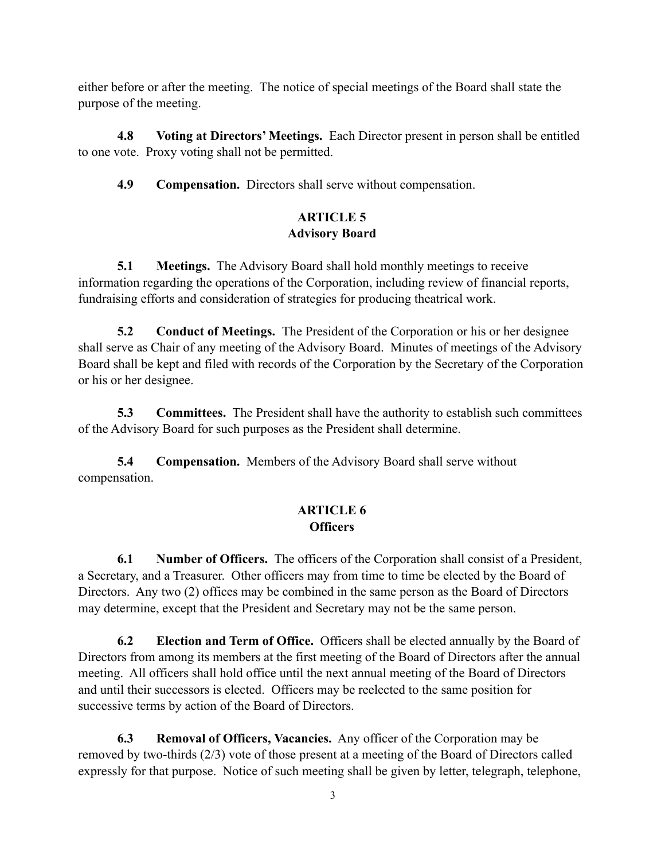either before or after the meeting. The notice of special meetings of the Board shall state the purpose of the meeting.

**4.8 Voting at Directors' Meetings.** Each Director present in person shall be entitled to one vote. Proxy voting shall not be permitted.

**4.9 Compensation.** Directors shall serve without compensation.

# **ARTICLE 5 Advisory Board**

**5.1** Meetings. The Advisory Board shall hold monthly meetings to receive information regarding the operations of the Corporation, including review of financial reports, fundraising efforts and consideration of strategies for producing theatrical work.

**5.2 Conduct of Meetings.** The President of the Corporation or his or her designee shall serve as Chair of any meeting of the Advisory Board. Minutes of meetings of the Advisory Board shall be kept and filed with records of the Corporation by the Secretary of the Corporation or his or her designee.

**5.3** Committees. The President shall have the authority to establish such committees of the Advisory Board for such purposes as the President shall determine.

**5.4 Compensation.** Members of the Advisory Board shall serve without compensation.

# **ARTICLE 6 Officers**

**6.1 Number of Officers.** The officers of the Corporation shall consist of a President, a Secretary, and a Treasurer. Other officers may from time to time be elected by the Board of Directors. Any two (2) offices may be combined in the same person as the Board of Directors may determine, except that the President and Secretary may not be the same person.

**6.2 Election and Term of Office.** Officers shall be elected annually by the Board of Directors from among its members at the first meeting of the Board of Directors after the annual meeting. All officers shall hold office until the next annual meeting of the Board of Directors and until their successors is elected. Officers may be reelected to the same position for successive terms by action of the Board of Directors.

**6.3 Removal of Officers, Vacancies.** Any officer of the Corporation may be removed by two-thirds (2/3) vote of those present at a meeting of the Board of Directors called expressly for that purpose. Notice of such meeting shall be given by letter, telegraph, telephone,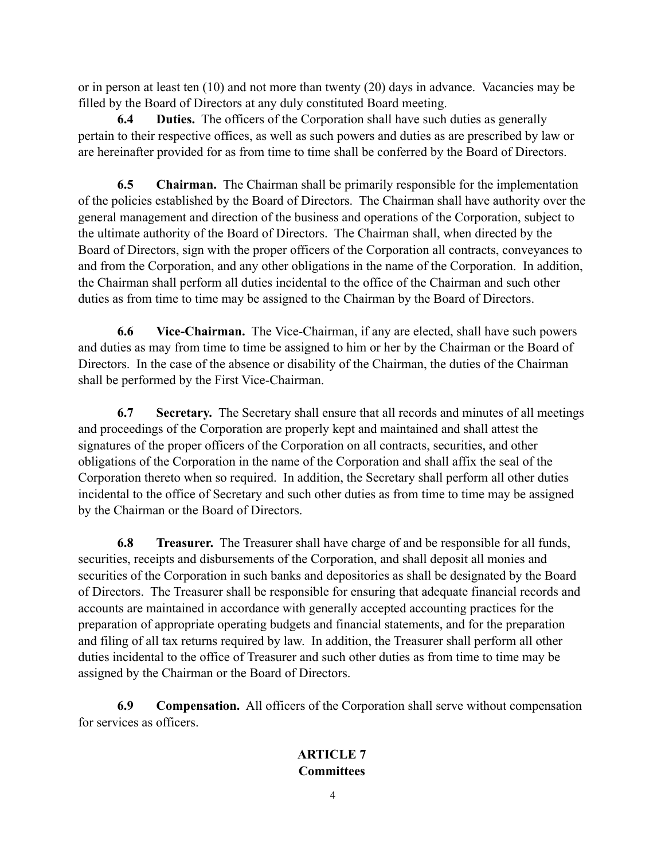or in person at least ten (10) and not more than twenty (20) days in advance. Vacancies may be filled by the Board of Directors at any duly constituted Board meeting.

**6.4 Duties.** The officers of the Corporation shall have such duties as generally pertain to their respective offices, as well as such powers and duties as are prescribed by law or are hereinafter provided for as from time to time shall be conferred by the Board of Directors.

**6.5 Chairman.** The Chairman shall be primarily responsible for the implementation of the policies established by the Board of Directors. The Chairman shall have authority over the general management and direction of the business and operations of the Corporation, subject to the ultimate authority of the Board of Directors. The Chairman shall, when directed by the Board of Directors, sign with the proper officers of the Corporation all contracts, conveyances to and from the Corporation, and any other obligations in the name of the Corporation. In addition, the Chairman shall perform all duties incidental to the office of the Chairman and such other duties as from time to time may be assigned to the Chairman by the Board of Directors.

**6.6 Vice-Chairman.** The Vice-Chairman, if any are elected, shall have such powers and duties as may from time to time be assigned to him or her by the Chairman or the Board of Directors. In the case of the absence or disability of the Chairman, the duties of the Chairman shall be performed by the First Vice-Chairman.

**6.7 Secretary.** The Secretary shall ensure that all records and minutes of all meetings and proceedings of the Corporation are properly kept and maintained and shall attest the signatures of the proper officers of the Corporation on all contracts, securities, and other obligations of the Corporation in the name of the Corporation and shall affix the seal of the Corporation thereto when so required. In addition, the Secretary shall perform all other duties incidental to the office of Secretary and such other duties as from time to time may be assigned by the Chairman or the Board of Directors.

**6.8 Treasurer.** The Treasurer shall have charge of and be responsible for all funds, securities, receipts and disbursements of the Corporation, and shall deposit all monies and securities of the Corporation in such banks and depositories as shall be designated by the Board of Directors. The Treasurer shall be responsible for ensuring that adequate financial records and accounts are maintained in accordance with generally accepted accounting practices for the preparation of appropriate operating budgets and financial statements, and for the preparation and filing of all tax returns required by law. In addition, the Treasurer shall perform all other duties incidental to the office of Treasurer and such other duties as from time to time may be assigned by the Chairman or the Board of Directors.

**6.9 Compensation.** All officers of the Corporation shall serve without compensation for services as officers.

# **ARTICLE 7 Committees**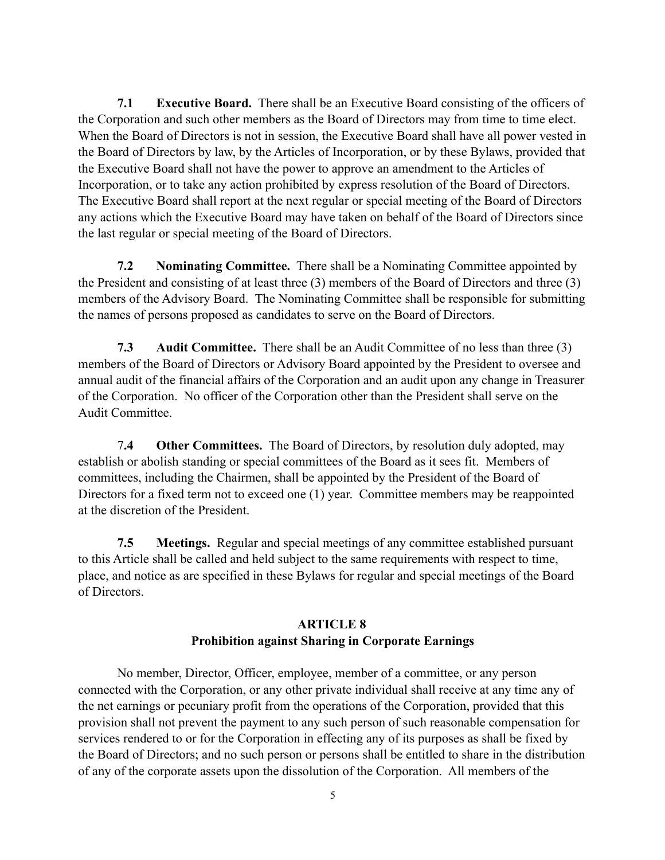**7.1 Executive Board.** There shall be an Executive Board consisting of the officers of the Corporation and such other members as the Board of Directors may from time to time elect. When the Board of Directors is not in session, the Executive Board shall have all power vested in the Board of Directors by law, by the Articles of Incorporation, or by these Bylaws, provided that the Executive Board shall not have the power to approve an amendment to the Articles of Incorporation, or to take any action prohibited by express resolution of the Board of Directors. The Executive Board shall report at the next regular or special meeting of the Board of Directors any actions which the Executive Board may have taken on behalf of the Board of Directors since the last regular or special meeting of the Board of Directors.

**7.2 Nominating Committee.** There shall be a Nominating Committee appointed by the President and consisting of at least three (3) members of the Board of Directors and three (3) members of the Advisory Board. The Nominating Committee shall be responsible for submitting the names of persons proposed as candidates to serve on the Board of Directors.

**7.3 Audit Committee.** There shall be an Audit Committee of no less than three (3) members of the Board of Directors or Advisory Board appointed by the President to oversee and annual audit of the financial affairs of the Corporation and an audit upon any change in Treasurer of the Corporation. No officer of the Corporation other than the President shall serve on the Audit Committee.

 7**.4 Other Committees.** The Board of Directors, by resolution duly adopted, may establish or abolish standing or special committees of the Board as it sees fit. Members of committees, including the Chairmen, shall be appointed by the President of the Board of Directors for a fixed term not to exceed one (1) year. Committee members may be reappointed at the discretion of the President.

**7.5 Meetings.** Regular and special meetings of any committee established pursuant to this Article shall be called and held subject to the same requirements with respect to time, place, and notice as are specified in these Bylaws for regular and special meetings of the Board of Directors.

# **ARTICLE 8 Prohibition against Sharing in Corporate Earnings**

 No member, Director, Officer, employee, member of a committee, or any person connected with the Corporation, or any other private individual shall receive at any time any of the net earnings or pecuniary profit from the operations of the Corporation, provided that this provision shall not prevent the payment to any such person of such reasonable compensation for services rendered to or for the Corporation in effecting any of its purposes as shall be fixed by the Board of Directors; and no such person or persons shall be entitled to share in the distribution of any of the corporate assets upon the dissolution of the Corporation. All members of the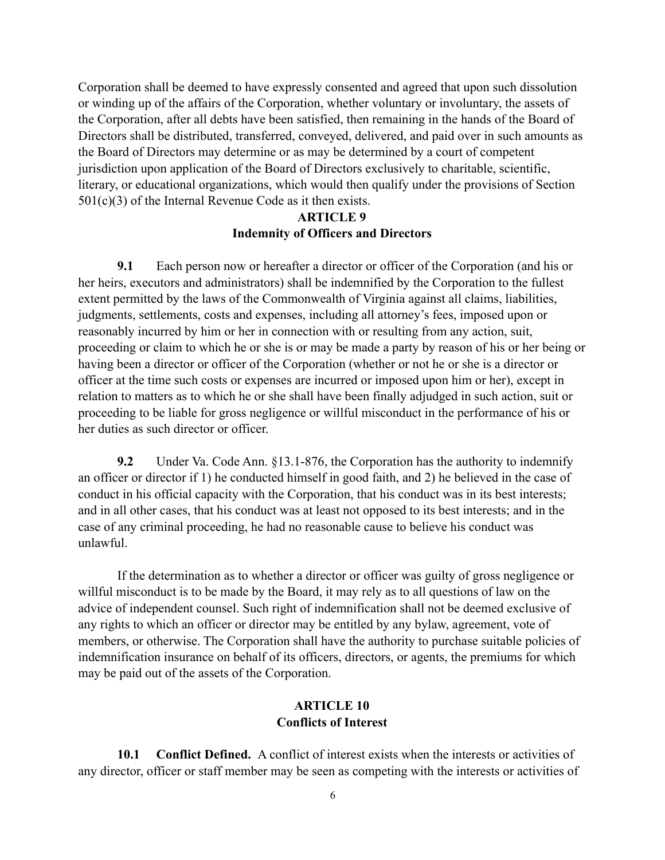Corporation shall be deemed to have expressly consented and agreed that upon such dissolution or winding up of the affairs of the Corporation, whether voluntary or involuntary, the assets of the Corporation, after all debts have been satisfied, then remaining in the hands of the Board of Directors shall be distributed, transferred, conveyed, delivered, and paid over in such amounts as the Board of Directors may determine or as may be determined by a court of competent jurisdiction upon application of the Board of Directors exclusively to charitable, scientific, literary, or educational organizations, which would then qualify under the provisions of Section 501(c)(3) of the Internal Revenue Code as it then exists.

## **ARTICLE 9 Indemnity of Officers and Directors**

 **9.1** Each person now or hereafter a director or officer of the Corporation (and his or her heirs, executors and administrators) shall be indemnified by the Corporation to the fullest extent permitted by the laws of the Commonwealth of Virginia against all claims, liabilities, judgments, settlements, costs and expenses, including all attorney's fees, imposed upon or reasonably incurred by him or her in connection with or resulting from any action, suit, proceeding or claim to which he or she is or may be made a party by reason of his or her being or having been a director or officer of the Corporation (whether or not he or she is a director or officer at the time such costs or expenses are incurred or imposed upon him or her), except in relation to matters as to which he or she shall have been finally adjudged in such action, suit or proceeding to be liable for gross negligence or willful misconduct in the performance of his or her duties as such director or officer.

 **9.2** Under Va. Code Ann. §13.1-876, the Corporation has the authority to indemnify an officer or director if 1) he conducted himself in good faith, and 2) he believed in the case of conduct in his official capacity with the Corporation, that his conduct was in its best interests; and in all other cases, that his conduct was at least not opposed to its best interests; and in the case of any criminal proceeding, he had no reasonable cause to believe his conduct was unlawful.

 If the determination as to whether a director or officer was guilty of gross negligence or willful misconduct is to be made by the Board, it may rely as to all questions of law on the advice of independent counsel. Such right of indemnification shall not be deemed exclusive of any rights to which an officer or director may be entitled by any bylaw, agreement, vote of members, or otherwise. The Corporation shall have the authority to purchase suitable policies of indemnification insurance on behalf of its officers, directors, or agents, the premiums for which may be paid out of the assets of the Corporation.

## **ARTICLE 10 Conflicts of Interest**

 **10.1 Conflict Defined.** A conflict of interest exists when the interests or activities of any director, officer or staff member may be seen as competing with the interests or activities of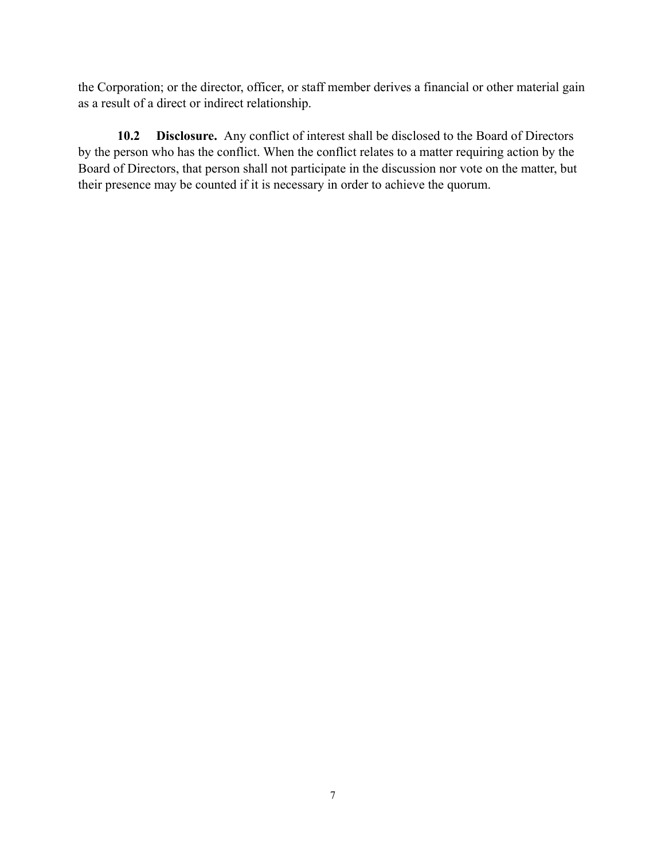the Corporation; or the director, officer, or staff member derives a financial or other material gain as a result of a direct or indirect relationship.

 **10.2 Disclosure.** Any conflict of interest shall be disclosed to the Board of Directors by the person who has the conflict. When the conflict relates to a matter requiring action by the Board of Directors, that person shall not participate in the discussion nor vote on the matter, but their presence may be counted if it is necessary in order to achieve the quorum.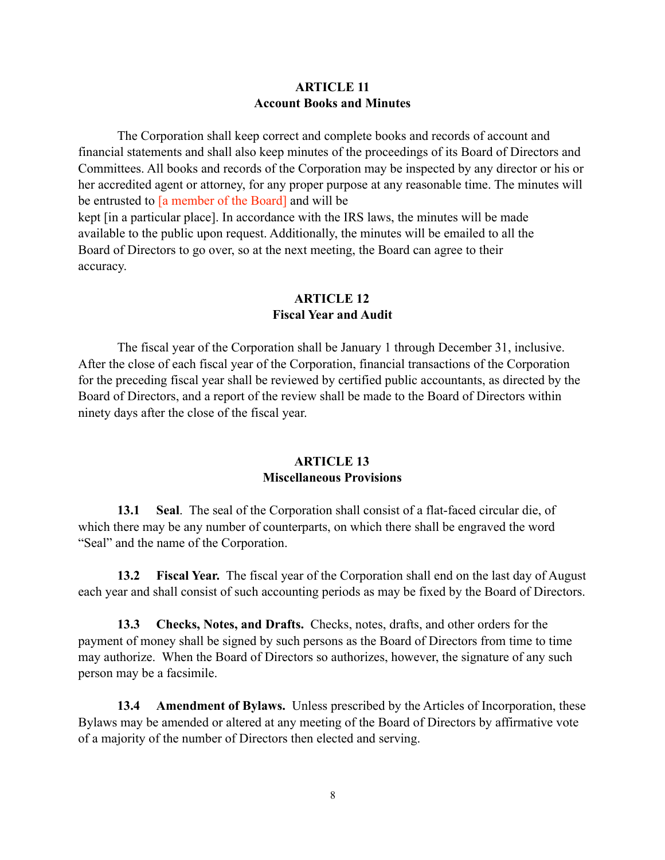## **ARTICLE 11 Account Books and Minutes**

The Corporation shall keep correct and complete books and records of account and financial statements and shall also keep minutes of the proceedings of its Board of Directors and Committees. All books and records of the Corporation may be inspected by any director or his or her accredited agent or attorney, for any proper purpose at any reasonable time. The minutes will be entrusted to [a member of the Board] and will be kept [in a particular place]. In accordance with the IRS laws, the minutes will be made available to the public upon request. Additionally, the minutes will be emailed to all the Board of Directors to go over, so at the next meeting, the Board can agree to their accuracy.

## **ARTICLE 12 Fiscal Year and Audit**

The fiscal year of the Corporation shall be January 1 through December 31, inclusive. After the close of each fiscal year of the Corporation, financial transactions of the Corporation for the preceding fiscal year shall be reviewed by certified public accountants, as directed by the Board of Directors, and a report of the review shall be made to the Board of Directors within ninety days after the close of the fiscal year.

## **ARTICLE 13 Miscellaneous Provisions**

**13.1 Seal**. The seal of the Corporation shall consist of a flat-faced circular die, of which there may be any number of counterparts, on which there shall be engraved the word "Seal" and the name of the Corporation.

**13.2 Fiscal Year.** The fiscal year of the Corporation shall end on the last day of August each year and shall consist of such accounting periods as may be fixed by the Board of Directors.

**13.3 Checks, Notes, and Drafts.** Checks, notes, drafts, and other orders for the payment of money shall be signed by such persons as the Board of Directors from time to time may authorize. When the Board of Directors so authorizes, however, the signature of any such person may be a facsimile.

**13.4 Amendment of Bylaws.** Unless prescribed by the Articles of Incorporation, these Bylaws may be amended or altered at any meeting of the Board of Directors by affirmative vote of a majority of the number of Directors then elected and serving.